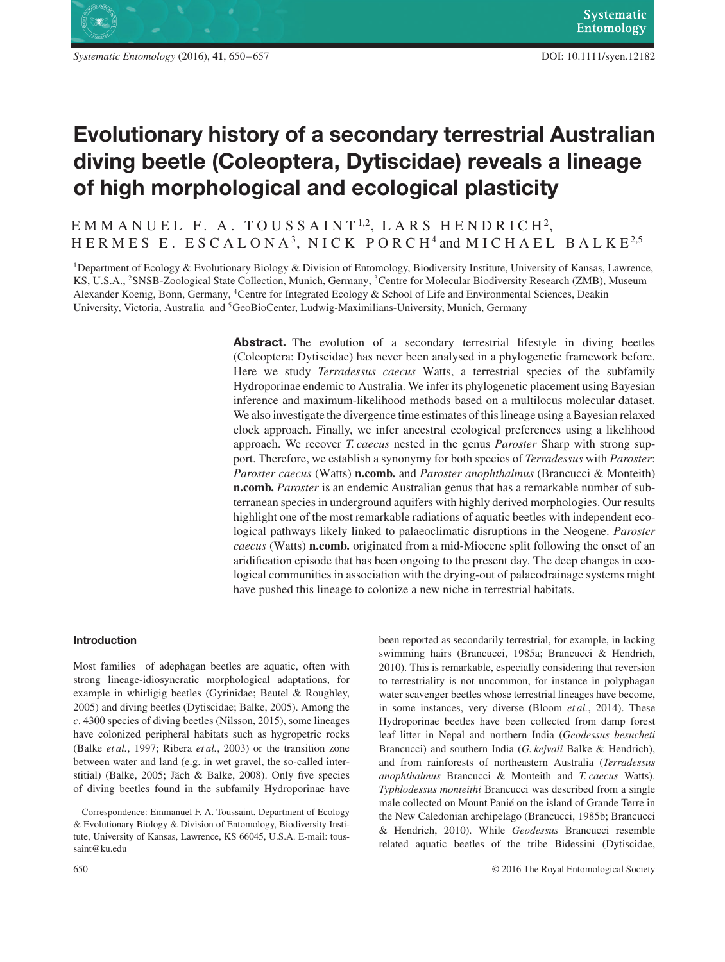

# **Evolutionary history of a secondary terrestrial Australian diving beetle (Coleoptera, Dytiscidae) reveals a lineage of high morphological and ecological plasticity**

# EMMANUEL F. A. TOUSSAINT <sup>1</sup>*,*2, LARS HENDRICH2, HERMES E. ESCALONA<sup>3</sup>, NICK PORCH<sup>4</sup> and MICHAEL BALKE<sup>2,5</sup>

1Department of Ecology & Evolutionary Biology & Division of Entomology, Biodiversity Institute, University of Kansas, Lawrence, KS, U.S.A., 2SNSB-Zoological State Collection, Munich, Germany, 3Centre for Molecular Biodiversity Research (ZMB), Museum Alexander Koenig, Bonn, Germany, 4Centre for Integrated Ecology & School of Life and Environmental Sciences, Deakin University, Victoria, Australia and 5GeoBioCenter, Ludwig-Maximilians-University, Munich, Germany

> **Abstract.** The evolution of a secondary terrestrial lifestyle in diving beetles (Coleoptera: Dytiscidae) has never been analysed in a phylogenetic framework before. Here we study *Terradessus caecus* Watts, a terrestrial species of the subfamily Hydroporinae endemic to Australia. We infer its phylogenetic placement using Bayesian inference and maximum-likelihood methods based on a multilocus molecular dataset. We also investigate the divergence time estimates of this lineage using a Bayesian relaxed clock approach. Finally, we infer ancestral ecological preferences using a likelihood approach. We recover *T. caecus* nested in the genus *Paroster* Sharp with strong support. Therefore, we establish a synonymy for both species of *Terradessus* with *Paroster*: *Paroster caecus* (Watts) **n.comb.** and *Paroster anophthalmus* (Brancucci & Monteith) **n.comb.** *Paroster* is an endemic Australian genus that has a remarkable number of subterranean species in underground aquifers with highly derived morphologies. Our results highlight one of the most remarkable radiations of aquatic beetles with independent ecological pathways likely linked to palaeoclimatic disruptions in the Neogene. *Paroster caecus* (Watts) **n.comb.** originated from a mid-Miocene split following the onset of an aridification episode that has been ongoing to the present day. The deep changes in ecological communities in association with the drying-out of palaeodrainage systems might have pushed this lineage to colonize a new niche in terrestrial habitats.

#### **Introduction**

Most families of adephagan beetles are aquatic, often with strong lineage-idiosyncratic morphological adaptations, for example in whirligig beetles (Gyrinidae; Beutel & Roughley, 2005) and diving beetles (Dytiscidae; Balke, 2005). Among the *c*. 4300 species of diving beetles (Nilsson, 2015), some lineages have colonized peripheral habitats such as hygropetric rocks (Balke *et al.*, 1997; Ribera *et al.*, 2003) or the transition zone between water and land (e.g. in wet gravel, the so-called interstitial) (Balke, 2005; Jäch & Balke, 2008). Only five species of diving beetles found in the subfamily Hydroporinae have been reported as secondarily terrestrial, for example, in lacking swimming hairs (Brancucci, 1985a; Brancucci & Hendrich, 2010). This is remarkable, especially considering that reversion to terrestriality is not uncommon, for instance in polyphagan water scavenger beetles whose terrestrial lineages have become, in some instances, very diverse (Bloom *et al.*, 2014). These Hydroporinae beetles have been collected from damp forest leaf litter in Nepal and northern India (*Geodessus besucheti* Brancucci) and southern India (*G. kejvali* Balke & Hendrich), and from rainforests of northeastern Australia (*Terradessus anophthalmus* Brancucci & Monteith and *T. caecus* Watts). *Typhlodessus monteithi* Brancucci was described from a single male collected on Mount Panié on the island of Grande Terre in the New Caledonian archipelago (Brancucci, 1985b; Brancucci & Hendrich, 2010). While *Geodessus* Brancucci resemble related aquatic beetles of the tribe Bidessini (Dytiscidae,

Correspondence: Emmanuel F. A. Toussaint, Department of Ecology & Evolutionary Biology & Division of Entomology, Biodiversity Institute, University of Kansas, Lawrence, KS 66045, U.S.A. E-mail: toussaint@ku.edu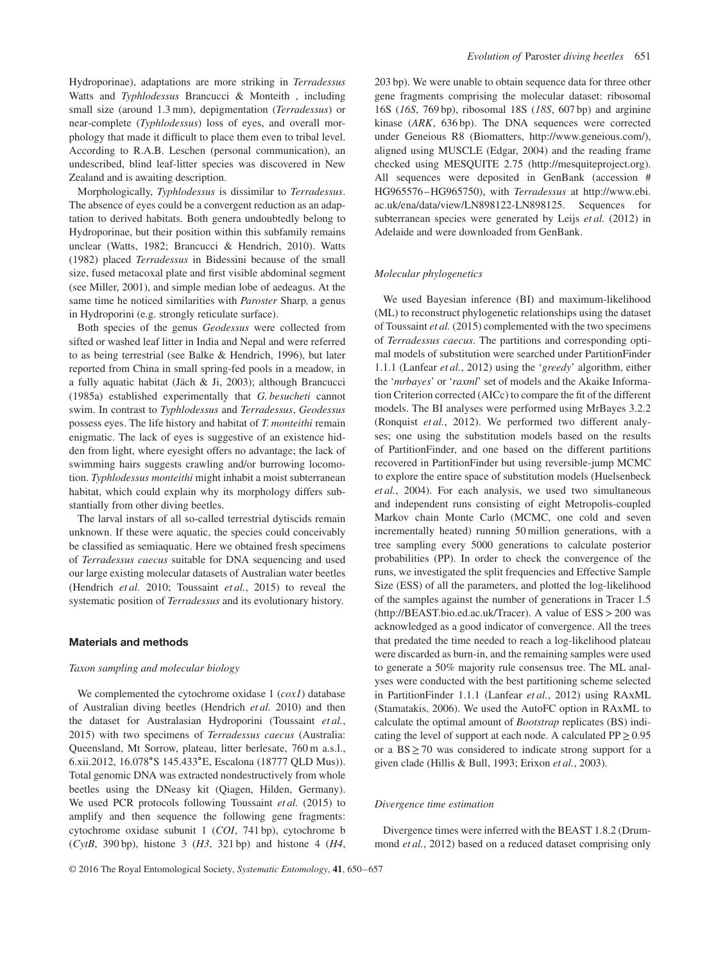Hydroporinae), adaptations are more striking in *Terradessus* Watts and *Typhlodessus* Brancucci & Monteith , including small size (around 1.3 mm), depigmentation (*Terradessus*) or near-complete (*Typhlodessus*) loss of eyes, and overall morphology that made it difficult to place them even to tribal level. According to R.A.B. Leschen (personal communication), an undescribed, blind leaf-litter species was discovered in New Zealand and is awaiting description.

Morphologically, *Typhlodessus* is dissimilar to *Terradessus*. The absence of eyes could be a convergent reduction as an adaptation to derived habitats. Both genera undoubtedly belong to Hydroporinae, but their position within this subfamily remains unclear (Watts, 1982; Brancucci & Hendrich, 2010). Watts (1982) placed *Terradessus* in Bidessini because of the small size, fused metacoxal plate and first visible abdominal segment (see Miller, 2001), and simple median lobe of aedeagus. At the same time he noticed similarities with *Paroster* Sharp*,* a genus in Hydroporini (e.g. strongly reticulate surface).

Both species of the genus *Geodessus* were collected from sifted or washed leaf litter in India and Nepal and were referred to as being terrestrial (see Balke & Hendrich, 1996), but later reported from China in small spring-fed pools in a meadow, in a fully aquatic habitat (Jäch & Ji, 2003); although Brancucci (1985a) established experimentally that *G. besucheti* cannot swim. In contrast to *Typhlodessus* and *Terradessus*, *Geodessus* possess eyes. The life history and habitat of *T. monteithi* remain enigmatic. The lack of eyes is suggestive of an existence hidden from light, where eyesight offers no advantage; the lack of swimming hairs suggests crawling and/or burrowing locomotion. *Typhlodessus monteithi* might inhabit a moist subterranean habitat, which could explain why its morphology differs substantially from other diving beetles.

The larval instars of all so-called terrestrial dytiscids remain unknown. If these were aquatic, the species could conceivably be classified as semiaquatic. Here we obtained fresh specimens of *Terradessus caecus* suitable for DNA sequencing and used our large existing molecular datasets of Australian water beetles (Hendrich *et al.* 2010; Toussaint *et al.*, 2015) to reveal the systematic position of *Terradessus* and its evolutionary history.

# **Materials and methods**

#### *Taxon sampling and molecular biology*

We complemented the cytochrome oxidase 1 (*cox1*) database of Australian diving beetles (Hendrich *et al.* 2010) and then the dataset for Australasian Hydroporini (Toussaint *et al.*, 2015) with two specimens of *Terradessus caecus* (Australia: Queensland, Mt Sorrow, plateau, litter berlesate, 760 m a.s.l., 6.xii.2012, 16.078∘S 145.433∘E, Escalona (18777 QLD Mus)). Total genomic DNA was extracted nondestructively from whole beetles using the DNeasy kit (Qiagen, Hilden, Germany). We used PCR protocols following Toussaint *et al.* (2015) to amplify and then sequence the following gene fragments: cytochrome oxidase subunit 1 (*COI*, 741 bp), cytochrome b (*CytB*, 390 bp), histone 3 (*H3*, 321 bp) and histone 4 (*H4*, 203 bp). We were unable to obtain sequence data for three other gene fragments comprising the molecular dataset: ribosomal 16S (*16S*, 769 bp), ribosomal 18S (*18S*, 607 bp) and arginine kinase (*ARK*, 636 bp). The DNA sequences were corrected under Geneious R8 (Biomatters, http://www.geneious.com/), aligned using MUSCLE (Edgar, 2004) and the reading frame checked using MESQUITE 2.75 (http://mesquiteproject.org). All sequences were deposited in GenBank (accession # HG965576–HG965750), with *Terradessus* at http://www.ebi. ac.uk/ena/data/view/LN898122-LN898125. Sequences for subterranean species were generated by Leijs et al. (2012) in Adelaide and were downloaded from GenBank.

#### *Molecular phylogenetics*

We used Bayesian inference (BI) and maximum-likelihood (ML) to reconstruct phylogenetic relationships using the dataset of Toussaint *et al.* (2015) complemented with the two specimens of *Terradessus caecus*. The partitions and corresponding optimal models of substitution were searched under PartitionFinder 1.1.1 (Lanfear *et al.*, 2012) using the '*greedy*' algorithm, either the '*mrbayes*' or '*raxml*' set of models and the Akaike Information Criterion corrected (AICc) to compare the fit of the different models. The BI analyses were performed using MrBayes 3.2.2 (Ronquist *et al.*, 2012). We performed two different analyses; one using the substitution models based on the results of PartitionFinder, and one based on the different partitions recovered in PartitionFinder but using reversible-jump MCMC to explore the entire space of substitution models (Huelsenbeck *et al.*, 2004). For each analysis, we used two simultaneous and independent runs consisting of eight Metropolis-coupled Markov chain Monte Carlo (MCMC, one cold and seven incrementally heated) running 50 million generations, with a tree sampling every 5000 generations to calculate posterior probabilities (PP). In order to check the convergence of the runs, we investigated the split frequencies and Effective Sample Size (ESS) of all the parameters, and plotted the log-likelihood of the samples against the number of generations in Tracer 1.5 (http://BEAST.bio.ed.ac.uk/Tracer). A value of ESS*>*200 was acknowledged as a good indicator of convergence. All the trees that predated the time needed to reach a log-likelihood plateau were discarded as burn-in, and the remaining samples were used to generate a 50% majority rule consensus tree. The ML analyses were conducted with the best partitioning scheme selected in PartitionFinder 1.1.1 (Lanfear *et al.*, 2012) using RAxML (Stamatakis, 2006). We used the AutoFC option in RAxML to calculate the optimal amount of *Bootstrap* replicates (BS) indicating the level of support at each node. A calculated  $PP \ge 0.95$ or a  $BS \ge 70$  was considered to indicate strong support for a given clade (Hillis & Bull, 1993; Erixon *et al.*, 2003).

## *Divergence time estimation*

Divergence times were inferred with the BEAST 1.8.2 (Drummond *et al.*, 2012) based on a reduced dataset comprising only

© 2016 The Royal Entomological Society, *Systematic Entomology*, **41**, 650–657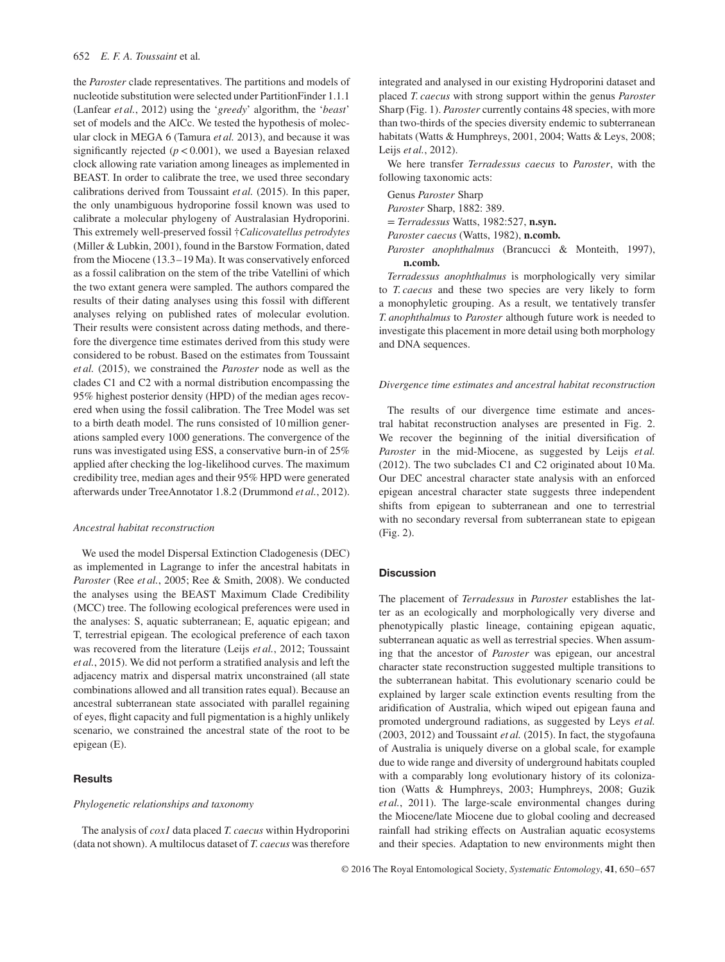#### 652 *E. F. A. Toussaint* et al*.*

the *Paroster* clade representatives. The partitions and models of nucleotide substitution were selected under PartitionFinder 1.1.1 (Lanfear *et al.*, 2012) using the '*greedy*' algorithm, the '*beast*' set of models and the AICc. We tested the hypothesis of molecular clock in MEGA 6 (Tamura *et al.* 2013), and because it was significantly rejected (*p<*0.001), we used a Bayesian relaxed clock allowing rate variation among lineages as implemented in BEAST. In order to calibrate the tree, we used three secondary calibrations derived from Toussaint *et al.* (2015). In this paper, the only unambiguous hydroporine fossil known was used to calibrate a molecular phylogeny of Australasian Hydroporini. This extremely well-preserved fossil †*Calicovatellus petrodytes* (Miller & Lubkin, 2001), found in the Barstow Formation, dated from the Miocene (13.3–19 Ma). It was conservatively enforced as a fossil calibration on the stem of the tribe Vatellini of which the two extant genera were sampled. The authors compared the results of their dating analyses using this fossil with different analyses relying on published rates of molecular evolution. Their results were consistent across dating methods, and therefore the divergence time estimates derived from this study were considered to be robust. Based on the estimates from Toussaint *et al.* (2015), we constrained the *Paroster* node as well as the clades C1 and C2 with a normal distribution encompassing the 95% highest posterior density (HPD) of the median ages recovered when using the fossil calibration. The Tree Model was set to a birth death model. The runs consisted of 10 million generations sampled every 1000 generations. The convergence of the runs was investigated using ESS, a conservative burn-in of 25% applied after checking the log-likelihood curves. The maximum credibility tree, median ages and their 95% HPD were generated afterwards under TreeAnnotator 1.8.2 (Drummond *et al.*, 2012).

#### *Ancestral habitat reconstruction*

We used the model Dispersal Extinction Cladogenesis (DEC) as implemented in Lagrange to infer the ancestral habitats in *Paroster* (Ree *et al.*, 2005; Ree & Smith, 2008). We conducted the analyses using the BEAST Maximum Clade Credibility (MCC) tree. The following ecological preferences were used in the analyses: S, aquatic subterranean; E, aquatic epigean; and T, terrestrial epigean. The ecological preference of each taxon was recovered from the literature (Leijs *et al.*, 2012; Toussaint *et al.*, 2015). We did not perform a stratified analysis and left the adjacency matrix and dispersal matrix unconstrained (all state combinations allowed and all transition rates equal). Because an ancestral subterranean state associated with parallel regaining of eyes, flight capacity and full pigmentation is a highly unlikely scenario, we constrained the ancestral state of the root to be epigean (E).

# **Results**

## *Phylogenetic relationships and taxonomy*

The analysis of *cox1* data placed *T. caecus* within Hydroporini (data not shown). A multilocus dataset of *T. caecus* was therefore integrated and analysed in our existing Hydroporini dataset and placed *T. caecus* with strong support within the genus *Paroster* Sharp (Fig. 1). *Paroster* currently contains 48 species, with more than two-thirds of the species diversity endemic to subterranean habitats (Watts & Humphreys, 2001, 2004; Watts & Leys, 2008; Leijs *et al.*, 2012).

We here transfer *Terradessus caecus* to *Paroster*, with the following taxonomic acts:

Genus *Paroster* Sharp *Paroster* Sharp, 1882: 389. = *Terradessus* Watts, 1982:527, **n.syn.** *Paroster caecus* (Watts, 1982), **n.comb.** *Paroster anophthalmus* (Brancucci & Monteith, 1997), **n.comb.**

*Terradessus anophthalmus* is morphologically very similar to *T. caecus* and these two species are very likely to form a monophyletic grouping. As a result, we tentatively transfer *T. anophthalmus* to *Paroster* although future work is needed to investigate this placement in more detail using both morphology and DNA sequences.

#### *Divergence time estimates and ancestral habitat reconstruction*

The results of our divergence time estimate and ancestral habitat reconstruction analyses are presented in Fig. 2. We recover the beginning of the initial diversification of *Paroster* in the mid-Miocene, as suggested by Leijs *et al.* (2012). The two subclades C1 and C2 originated about 10 Ma. Our DEC ancestral character state analysis with an enforced epigean ancestral character state suggests three independent shifts from epigean to subterranean and one to terrestrial with no secondary reversal from subterranean state to epigean (Fig. 2).

#### **Discussion**

The placement of *Terradessus* in *Paroster* establishes the latter as an ecologically and morphologically very diverse and phenotypically plastic lineage, containing epigean aquatic, subterranean aquatic as well as terrestrial species. When assuming that the ancestor of *Paroster* was epigean, our ancestral character state reconstruction suggested multiple transitions to the subterranean habitat. This evolutionary scenario could be explained by larger scale extinction events resulting from the aridification of Australia, which wiped out epigean fauna and promoted underground radiations, as suggested by Leys *et al.* (2003, 2012) and Toussaint *et al.* (2015). In fact, the stygofauna of Australia is uniquely diverse on a global scale, for example due to wide range and diversity of underground habitats coupled with a comparably long evolutionary history of its colonization (Watts & Humphreys, 2003; Humphreys, 2008; Guzik *et al.*, 2011). The large-scale environmental changes during the Miocene/late Miocene due to global cooling and decreased rainfall had striking effects on Australian aquatic ecosystems and their species. Adaptation to new environments might then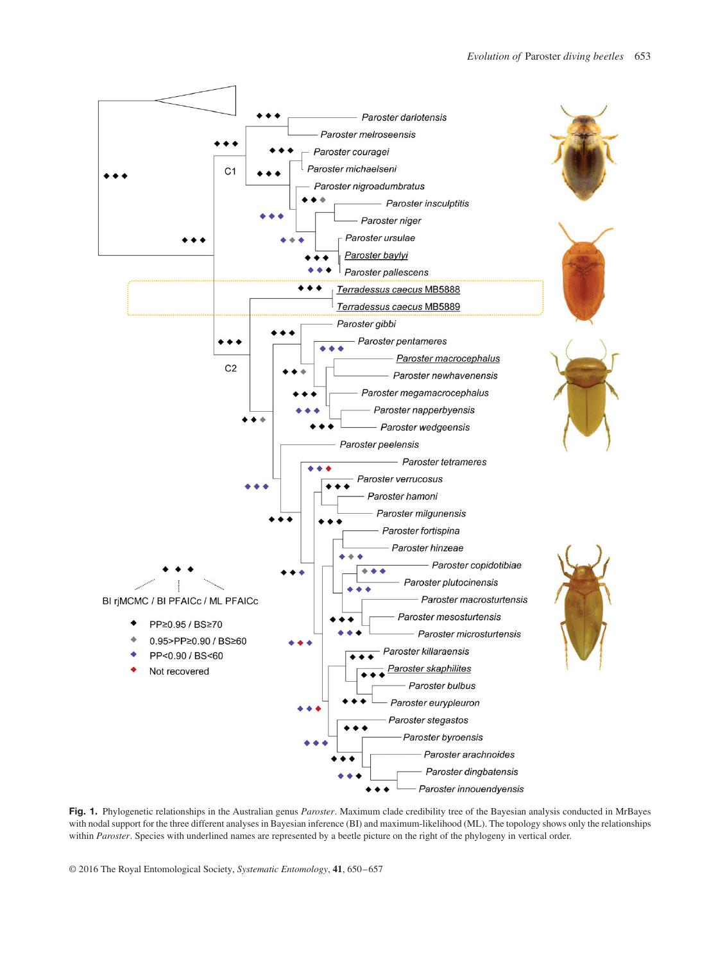

**Fig. 1.** Phylogenetic relationships in the Australian genus *Paroster*. Maximum clade credibility tree of the Bayesian analysis conducted in MrBayes with nodal support for the three different analyses in Bayesian inference (BI) and maximum-likelihood (ML). The topology shows only the relationships within *Paroster*. Species with underlined names are represented by a beetle picture on the right of the phylogeny in vertical order.

© 2016 The Royal Entomological Society, *Systematic Entomology*, **41**, 650–657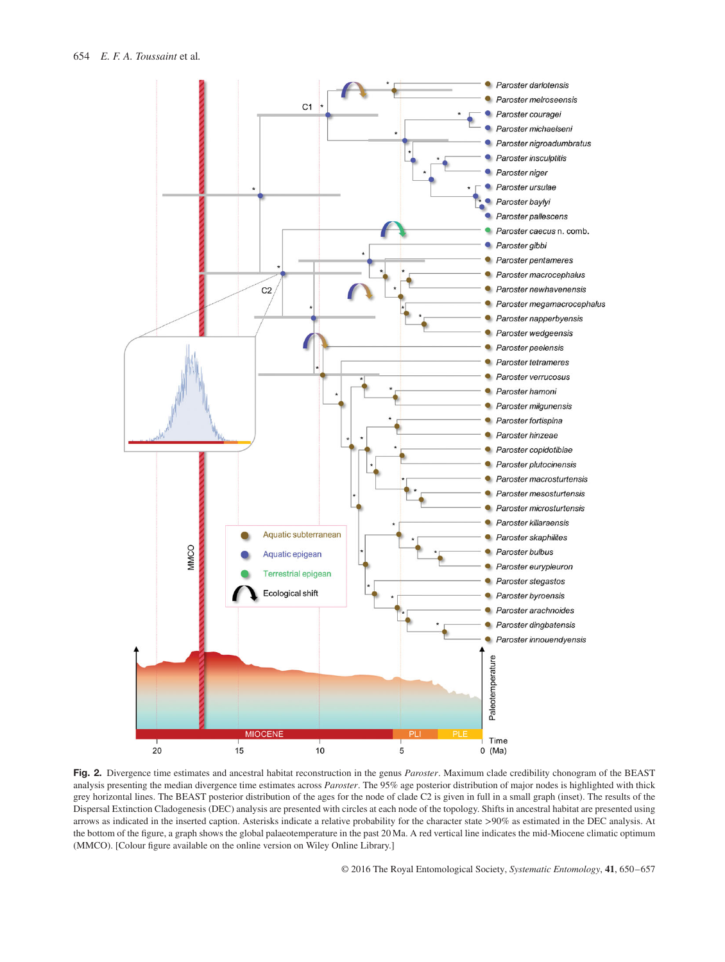

**Fig. 2.** Divergence time estimates and ancestral habitat reconstruction in the genus *Paroster*. Maximum clade credibility chonogram of the BEAST analysis presenting the median divergence time estimates across *Paroster*. The 95% age posterior distribution of major nodes is highlighted with thick grey horizontal lines. The BEAST posterior distribution of the ages for the node of clade C2 is given in full in a small graph (inset). The results of the Dispersal Extinction Cladogenesis (DEC) analysis are presented with circles at each node of the topology. Shifts in ancestral habitat are presented using arrows as indicated in the inserted caption. Asterisks indicate a relative probability for the character state *>*90% as estimated in the DEC analysis. At the bottom of the figure, a graph shows the global palaeotemperature in the past 20 Ma. A red vertical line indicates the mid-Miocene climatic optimum (MMCO). [Colour figure available on the online version on Wiley Online Library.]

© 2016 The Royal Entomological Society, *Systematic Entomology*, **41**, 650–657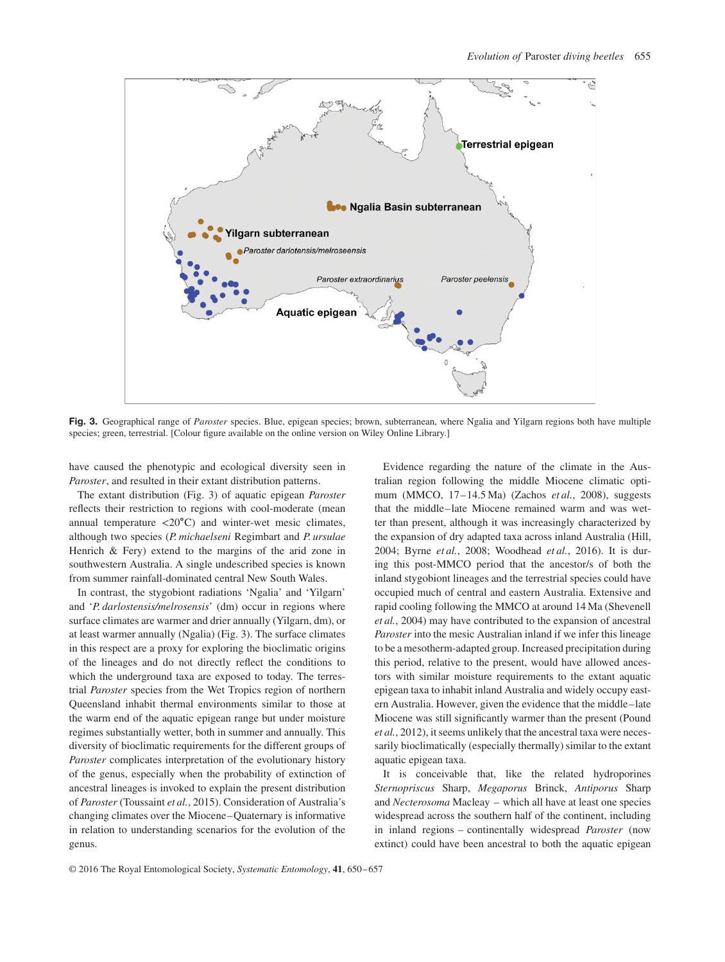

**Fig. 3.** Geographical range of *Paroster* species. Blue, epigean species; brown, subterranean, where Ngalia and Yilgarn regions both have multiple species; green, terrestrial. [Colour figure available on the online version on Wiley Online Library.]

have caused the phenotypic and ecological diversity seen in *Paroster*, and resulted in their extant distribution patterns.

The extant distribution (Fig. 3) of aquatic epigean *Paroster* reflects their restriction to regions with cool-moderate (mean annual temperature *<*20∘C) and winter-wet mesic climates, although two species (*P. michaelseni* Regimbart and *P. ursulae* Henrich & Fery) extend to the margins of the arid zone in southwestern Australia. A single undescribed species is known from summer rainfall-dominated central New South Wales.

In contrast, the stygobiont radiations 'Ngalia' and 'Yilgarn' and '*P. darlostensis/melrosensis*' (dm) occur in regions where surface climates are warmer and drier annually (Yilgarn, dm), or at least warmer annually (Ngalia) (Fig. 3). The surface climates in this respect are a proxy for exploring the bioclimatic origins of the lineages and do not directly reflect the conditions to which the underground taxa are exposed to today. The terrestrial *Paroster* species from the Wet Tropics region of northern Queensland inhabit thermal environments similar to those at the warm end of the aquatic epigean range but under moisture regimes substantially wetter, both in summer and annually. This diversity of bioclimatic requirements for the different groups of *Paroster* complicates interpretation of the evolutionary history of the genus, especially when the probability of extinction of ancestral lineages is invoked to explain the present distribution of *Paroster* (Toussaint *et al.*, 2015). Consideration of Australia's changing climates over the Miocene–Quaternary is informative in relation to understanding scenarios for the evolution of the genus.

Evidence regarding the nature of the climate in the Australian region following the middle Miocene climatic optimum (MMCO, 17–14.5 Ma) (Zachos *et al.*, 2008), suggests that the middle–late Miocene remained warm and was wetter than present, although it was increasingly characterized by the expansion of dry adapted taxa across inland Australia (Hill, 2004; Byrne *et al.*, 2008; Woodhead *et al.*, 2016). It is during this post-MMCO period that the ancestor/s of both the inland stygobiont lineages and the terrestrial species could have occupied much of central and eastern Australia. Extensive and rapid cooling following the MMCO at around 14 Ma (Shevenell *et al.*, 2004) may have contributed to the expansion of ancestral *Paroster* into the mesic Australian inland if we infer this lineage to be a mesotherm-adapted group. Increased precipitation during this period, relative to the present, would have allowed ancestors with similar moisture requirements to the extant aquatic epigean taxa to inhabit inland Australia and widely occupy eastern Australia. However, given the evidence that the middle–late Miocene was still significantly warmer than the present (Pound *et al.*, 2012), it seems unlikely that the ancestral taxa were necessarily bioclimatically (especially thermally) similar to the extant aquatic epigean taxa.

It is conceivable that, like the related hydroporines *Sternopriscus* Sharp, *Megaporus* Brinck, *Antiporus* Sharp and *Necterosoma* Macleay – which all have at least one species widespread across the southern half of the continent, including in inland regions – continentally widespread *Paroster* (now extinct) could have been ancestral to both the aquatic epigean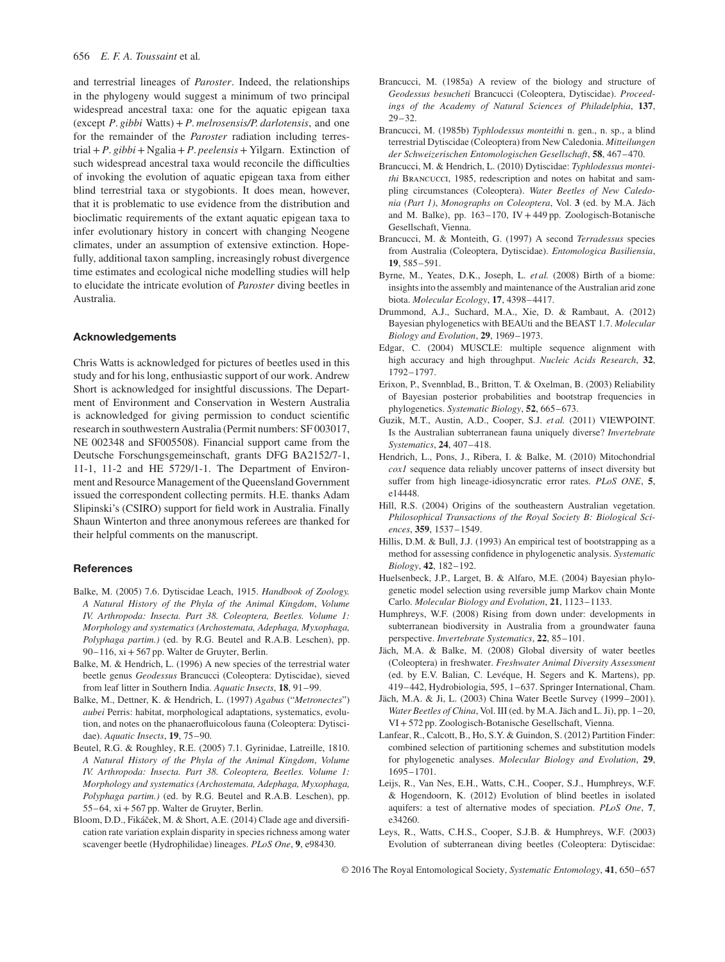and terrestrial lineages of *Paroster*. Indeed, the relationships in the phylogeny would suggest a minimum of two principal widespread ancestral taxa: one for the aquatic epigean taxa (except *P*. *gibbi* Watts)+*P*. *melrosensis/P. darlotensis*, and one for the remainder of the *Paroster* radiation including terrestrial+*P*. *gibbi*+ Ngalia+*P*. *peelensis*+ Yilgarn. Extinction of such widespread ancestral taxa would reconcile the difficulties of invoking the evolution of aquatic epigean taxa from either blind terrestrial taxa or stygobionts. It does mean, however, that it is problematic to use evidence from the distribution and bioclimatic requirements of the extant aquatic epigean taxa to infer evolutionary history in concert with changing Neogene climates, under an assumption of extensive extinction. Hopefully, additional taxon sampling, increasingly robust divergence time estimates and ecological niche modelling studies will help to elucidate the intricate evolution of *Paroster* diving beetles in Australia.

# **Acknowledgements**

Chris Watts is acknowledged for pictures of beetles used in this study and for his long, enthusiastic support of our work. Andrew Short is acknowledged for insightful discussions. The Department of Environment and Conservation in Western Australia is acknowledged for giving permission to conduct scientific research in southwestern Australia (Permit numbers: SF 003017, NE 002348 and SF005508). Financial support came from the Deutsche Forschungsgemeinschaft, grants DFG BA2152/7-1, 11-1, 11-2 and HE 5729/1-1. The Department of Environment and Resource Management of the Queensland Government issued the correspondent collecting permits. H.E. thanks Adam Slipinski's (CSIRO) support for field work in Australia. Finally Shaun Winterton and three anonymous referees are thanked for their helpful comments on the manuscript.

#### **References**

- Balke, M. (2005) 7.6. Dytiscidae Leach, 1915. *Handbook of Zoology. A Natural History of the Phyla of the Animal Kingdom*, *Volume IV. Arthropoda: Insecta. Part 38. Coleoptera, Beetles. Volume 1: Morphology and systematics (Archostemata, Adephaga, Myxophaga, Polyphaga partim.)* (ed. by R.G. Beutel and R.A.B. Leschen), pp. 90–116, xi+567 pp. Walter de Gruyter, Berlin.
- Balke, M. & Hendrich, L. (1996) A new species of the terrestrial water beetle genus *Geodessus* Brancucci (Coleoptera: Dytiscidae), sieved from leaf litter in Southern India. *Aquatic Insects*, **18**, 91–99.
- Balke, M., Dettner, K. & Hendrich, L. (1997) *Agabus* ("*Metronectes*") *aubei* Perris: habitat, morphological adaptations, systematics, evolution, and notes on the phanaerofluicolous fauna (Coleoptera: Dytiscidae). *Aquatic Insects*, **19**, 75–90.
- Beutel, R.G. & Roughley, R.E. (2005) 7.1. Gyrinidae, Latreille, 1810. *A Natural History of the Phyla of the Animal Kingdom*, *Volume IV. Arthropoda: Insecta. Part 38. Coleoptera, Beetles. Volume 1: Morphology and systematics (Archostemata, Adephaga, Myxophaga, Polyphaga partim.)* (ed. by R.G. Beutel and R.A.B. Leschen), pp. 55–64, xi+567 pp. Walter de Gruyter, Berlin.
- Bloom, D.D., Fikáček, M. & Short, A.E. (2014) Clade age and diversification rate variation explain disparity in species richness among water scavenger beetle (Hydrophilidae) lineages. *PLoS One*, **9**, e98430.
- Brancucci, M. (1985a) A review of the biology and structure of *Geodessus besucheti* Brancucci (Coleoptera, Dytiscidae). *Proceedings of the Academy of Natural Sciences of Philadelphia*, **137**, 29–32.
- Brancucci, M. (1985b) *Typhlodessus monteithi* n. gen., n. sp., a blind terrestrial Dytiscidae (Coleoptera) from New Caledonia. *Mitteilungen der Schweizerischen Entomologischen Gesellschaft*, **58**, 467–470.
- Brancucci, M. & Hendrich, L. (2010) Dytiscidae: *Typhlodessus monteithi* Brancucci, 1985, redescription and notes on habitat and sampling circumstances (Coleoptera). *Water Beetles of New Caledonia (Part 1)*, *Monographs on Coleoptera*, Vol. **3** (ed. by M.A. Jäch and M. Balke), pp. 163–170, IV +449 pp. Zoologisch-Botanische Gesellschaft, Vienna.
- Brancucci, M. & Monteith, G. (1997) A second *Terradessus* species from Australia (Coleoptera, Dytiscidae). *Entomologica Basiliensia*, **19**, 585–591.
- Byrne, M., Yeates, D.K., Joseph, L. *et al.* (2008) Birth of a biome: insights into the assembly and maintenance of the Australian arid zone biota. *Molecular Ecology*, **17**, 4398–4417.
- Drummond, A.J., Suchard, M.A., Xie, D. & Rambaut, A. (2012) Bayesian phylogenetics with BEAUti and the BEAST 1.7. *Molecular Biology and Evolution*, **29**, 1969–1973.
- Edgar, C. (2004) MUSCLE: multiple sequence alignment with high accuracy and high throughput. *Nucleic Acids Research*, **32**, 1792–1797.
- Erixon, P., Svennblad, B., Britton, T. & Oxelman, B. (2003) Reliability of Bayesian posterior probabilities and bootstrap frequencies in phylogenetics. *Systematic Biology*, **52**, 665–673.
- Guzik, M.T., Austin, A.D., Cooper, S.J. *et al.* (2011) VIEWPOINT. Is the Australian subterranean fauna uniquely diverse? *Invertebrate Systematics*, **24**, 407–418.
- Hendrich, L., Pons, J., Ribera, I. & Balke, M. (2010) Mitochondrial *cox1* sequence data reliably uncover patterns of insect diversity but suffer from high lineage-idiosyncratic error rates. *PLoS ONE*, **5**, e14448.
- Hill, R.S. (2004) Origins of the southeastern Australian vegetation. *Philosophical Transactions of the Royal Society B: Biological Sciences*, **359**, 1537–1549.
- Hillis, D.M. & Bull, J.J. (1993) An empirical test of bootstrapping as a method for assessing confidence in phylogenetic analysis. *Systematic Biology*, **42**, 182–192.
- Huelsenbeck, J.P., Larget, B. & Alfaro, M.E. (2004) Bayesian phylogenetic model selection using reversible jump Markov chain Monte Carlo. *Molecular Biology and Evolution*, **21**, 1123–1133.
- Humphreys, W.F. (2008) Rising from down under: developments in subterranean biodiversity in Australia from a groundwater fauna perspective. *Invertebrate Systematics*, **22**, 85–101.
- Jäch, M.A. & Balke, M. (2008) Global diversity of water beetles (Coleoptera) in freshwater. *Freshwater Animal Diversity Assessment* (ed. by E.V. Balian, C. Levéque, H. Segers and K. Martens), pp. 419–442, Hydrobiologia, 595, 1–637. Springer International, Cham.
- Jäch, M.A. & Ji, L. (2003) China Water Beetle Survey (1999–2001). *Water Beetles of China*, Vol. III (ed. by M.A. Jäch and L. Ji), pp. 1–20, VI+572 pp. Zoologisch-Botanische Gesellschaft, Vienna.
- Lanfear, R., Calcott, B., Ho, S.Y. & Guindon, S. (2012) Partition Finder: combined selection of partitioning schemes and substitution models for phylogenetic analyses. *Molecular Biology and Evolution*, **29**, 1695–1701.
- Leijs, R., Van Nes, E.H., Watts, C.H., Cooper, S.J., Humphreys, W.F. & Hogendoorn, K. (2012) Evolution of blind beetles in isolated aquifers: a test of alternative modes of speciation. *PLoS One*, **7**, e34260.
- Leys, R., Watts, C.H.S., Cooper, S.J.B. & Humphreys, W.F. (2003) Evolution of subterranean diving beetles (Coleoptera: Dytiscidae: